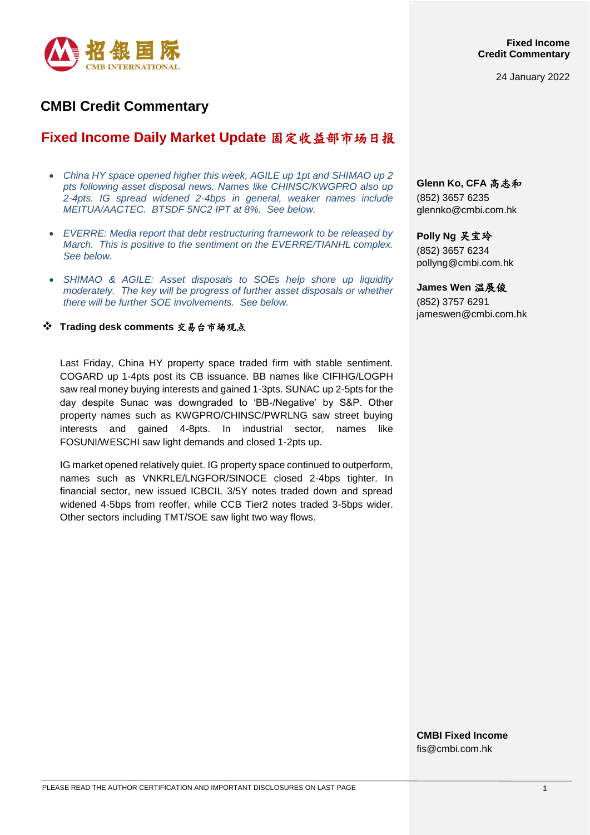

24 January 2022

# **CMBI Credit Commentary**

# **Fixed Income Daily Market Update** 固定收益部市场日报

- *China HY space opened higher this week, AGILE up 1pt and SHIMAO up 2 pts following asset disposal news. Names like CHINSC/KWGPRO also up 2-4pts. IG spread widened 2-4bps in general, weaker names include MEITUA/AACTEC. BTSDF 5NC2 IPT at 8%. See below.*
- *EVERRE: Media report that debt restructuring framework to be released by March. This is positive to the sentiment on the EVERRE/TIANHL complex. See below.*
- *SHIMAO & AGILE: Asset disposals to SOEs help shore up liquidity moderately. The key will be progress of further asset disposals or whether there will be further SOE involvements. See below.*

**Trading desk comments** 交易台市场观点

Last Friday, China HY property space traded firm with stable sentiment. COGARD up 1-4pts post its CB issuance. BB names like CIFIHG/LOGPH saw real money buying interests and gained 1-3pts. SUNAC up 2-5pts for the day despite Sunac was downgraded to 'BB-/Negative' by S&P. Other property names such as KWGPRO/CHINSC/PWRLNG saw street buying interests and gained 4-8pts. In industrial sector, names like FOSUNI/WESCHI saw light demands and closed 1-2pts up.

IG market opened relatively quiet. IG property space continued to outperform, names such as VNKRLE/LNGFOR/SINOCE closed 2-4bps tighter. In financial sector, new issued ICBCIL 3/5Y notes traded down and spread widened 4-5bps from reoffer, while CCB Tier2 notes traded 3-5bps wider. Other sectors including TMT/SOE saw light two way flows.

**Glenn Ko, CFA** 高志和 (852) 3657 6235 [glennko@cmbi.com.hk](mailto:glennko@cmbi.com.hk)

**Polly Ng** 吴宝玲 (852) 3657 6234 pollyng@cmbi.com.hk

**James Wen** 温展俊

(852) 3757 6291 jameswen@cmbi.com.hk

**CMBI Fixed Income** fis@cmbi.com.hk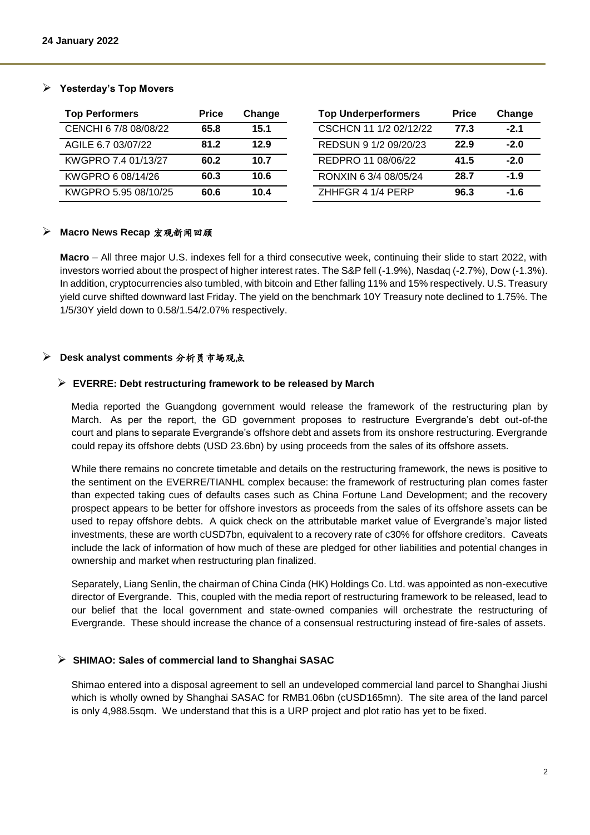# **Yesterday's Top Movers**

| <b>Top Performers</b> | <b>Price</b> | Change | <b>Top Underperformers</b> | <b>Price</b> | Change |
|-----------------------|--------------|--------|----------------------------|--------------|--------|
| CENCHI 6 7/8 08/08/22 | 65.8         | 15.1   | CSCHCN 11 1/2 02/12/22     | 77.3         | $-2.1$ |
| AGILE 6.7 03/07/22    | 81.2         | 12.9   | REDSUN 9 1/2 09/20/23      | 22.9         | $-2.0$ |
| KWGPRO 7.4 01/13/27   | 60.2         | 10.7   | REDPRO 11 08/06/22         | 41.5         | $-2.0$ |
| KWGPRO 6 08/14/26     | 60.3         | 10.6   | RONXIN 6 3/4 08/05/24      | 28.7         | $-1.9$ |
| KWGPRO 5.95 08/10/25  | 60.6         | 10.4   | ZHHFGR 4 1/4 PERP          | 96.3         | $-1.6$ |

### **Macro News Recap** 宏观新闻回顾

**Macro** – All three major U.S. indexes fell for a third consecutive week, continuing their slide to start 2022, with investors worried about the prospect of higher interest rates. The S&P fell (-1.9%), Nasdaq (-2.7%), Dow (-1.3%). In addition, cryptocurrencies also tumbled, with bitcoin and Ether falling 11% and 15% respectively. U.S. Treasury yield curve shifted downward last Friday. The yield on the benchmark 10Y Treasury note declined to 1.75%. The 1/5/30Y yield down to 0.58/1.54/2.07% respectively.

### **Desk analyst comments** 分析员市场观点

### **EVERRE: Debt restructuring framework to be released by March**

Media reported the Guangdong government would release the framework of the restructuring plan by March. As per the report, the GD government proposes to restructure Evergrande's debt out-of-the court and plans to separate Evergrande's offshore debt and assets from its onshore restructuring. Evergrande could repay its offshore debts (USD 23.6bn) by using proceeds from the sales of its offshore assets.

While there remains no concrete timetable and details on the restructuring framework, the news is positive to the sentiment on the EVERRE/TIANHL complex because: the framework of restructuring plan comes faster than expected taking cues of defaults cases such as China Fortune Land Development; and the recovery prospect appears to be better for offshore investors as proceeds from the sales of its offshore assets can be used to repay offshore debts. A quick check on the attributable market value of Evergrande's major listed investments, these are worth cUSD7bn, equivalent to a recovery rate of c30% for offshore creditors. Caveats include the lack of information of how much of these are pledged for other liabilities and potential changes in ownership and market when restructuring plan finalized.

Separately, Liang Senlin, the chairman of China Cinda (HK) Holdings Co. Ltd. was appointed as non-executive director of Evergrande. This, coupled with the media report of restructuring framework to be released, lead to our belief that the local government and state-owned companies will orchestrate the restructuring of Evergrande. These should increase the chance of a consensual restructuring instead of fire-sales of assets.

# **SHIMAO: Sales of commercial land to Shanghai SASAC**

Shimao entered into a disposal agreement to sell an undeveloped commercial land parcel to Shanghai Jiushi which is wholly owned by Shanghai SASAC for RMB1.06bn (cUSD165mn). The site area of the land parcel is only 4,988.5sqm. We understand that this is a URP project and plot ratio has yet to be fixed.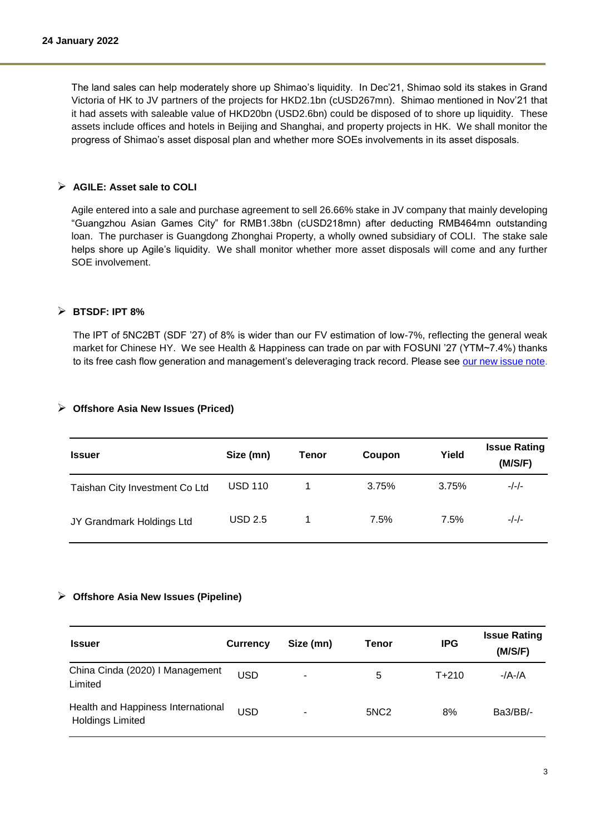The land sales can help moderately shore up Shimao's liquidity. In Dec'21, Shimao sold its stakes in Grand Victoria of HK to JV partners of the projects for HKD2.1bn (cUSD267mn). Shimao mentioned in Nov'21 that it had assets with saleable value of HKD20bn (USD2.6bn) could be disposed of to shore up liquidity. These assets include offices and hotels in Beijing and Shanghai, and property projects in HK. We shall monitor the progress of Shimao's asset disposal plan and whether more SOEs involvements in its asset disposals.

## **AGILE: Asset sale to COLI**

Agile entered into a sale and purchase agreement to sell 26.66% stake in JV company that mainly developing "Guangzhou Asian Games City" for RMB1.38bn (cUSD218mn) after deducting RMB464mn outstanding loan. The purchaser is Guangdong Zhonghai Property, a wholly owned subsidiary of COLI. The stake sale helps shore up Agile's liquidity. We shall monitor whether more asset disposals will come and any further SOE involvement.

## **BTSDF: IPT 8%**

The IPT of 5NC2BT (SDF '27) of 8% is wider than our FV estimation of low-7%, reflecting the general weak market for Chinese HY. We see Health & Happiness can trade on par with FOSUNI '27 (YTM~7.4%) thanks to its free cash flow generation and management's deleveraging track record. Please see [our new issue note.](https://www.cmbi.com/article/6280.html?lang=en)

| <b>Issuer</b>                  | Size (mn)      | Tenor | Coupon | Yield | <b>Issue Rating</b><br>(M/S/F) |
|--------------------------------|----------------|-------|--------|-------|--------------------------------|
| Taishan City Investment Co Ltd | <b>USD 110</b> |       | 3.75%  | 3.75% | -/-/-                          |
| JY Grandmark Holdings Ltd      | <b>USD 2.5</b> |       | 7.5%   | 7.5%  | $-/-/-$                        |

# **Offshore Asia New Issues (Priced)**

#### **Offshore Asia New Issues (Pipeline)**

| <b>Issuer</b>                                                 | <b>Currency</b> | Size (mn) | Tenor            | <b>IPG</b> | <b>Issue Rating</b><br>(M/S/F) |
|---------------------------------------------------------------|-----------------|-----------|------------------|------------|--------------------------------|
| China Cinda (2020) I Management<br>Limited                    | <b>USD</b>      |           | 5                | $T + 210$  | $-/A$ -/A                      |
| Health and Happiness International<br><b>Holdings Limited</b> | <b>USD</b>      | ٠         | 5NC <sub>2</sub> | 8%         | Ba3/BB/-                       |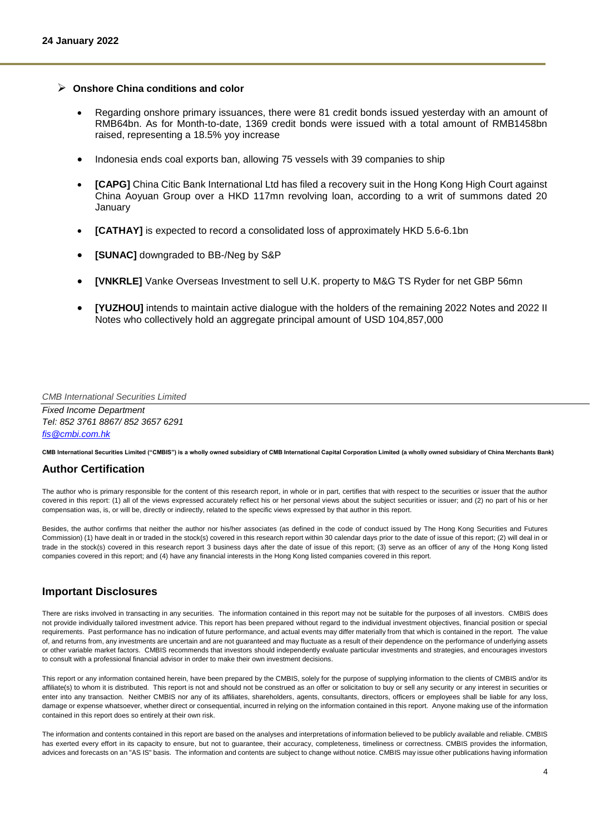#### **Onshore China conditions and color**

- Regarding onshore primary issuances, there were 81 credit bonds issued yesterday with an amount of RMB64bn. As for Month-to-date, 1369 credit bonds were issued with a total amount of RMB1458bn raised, representing a 18.5% yoy increase
- Indonesia ends coal exports ban, allowing 75 vessels with 39 companies to ship
- **[CAPG]** China Citic Bank International Ltd has filed a recovery suit in the Hong Kong High Court against China Aoyuan Group over a HKD 117mn revolving loan, according to a writ of summons dated 20 January
- **[CATHAY]** is expected to record a consolidated loss of approximately HKD 5.6-6.1bn
- **[SUNAC]** downgraded to BB-/Neg by S&P
- **[VNKRLE]** Vanke Overseas Investment to sell U.K. property to M&G TS Ryder for net GBP 56mn
- **[YUZHOU]** intends to maintain active dialogue with the holders of the remaining 2022 Notes and 2022 II Notes who collectively hold an aggregate principal amount of USD 104,857,000

*CMB International Securities Limited*

*Fixed Income Department Tel: 852 3761 8867/ 852 3657 6291 [fis@cmbi.com.hk](mailto:fis@cmbi.com.hk)*

**CMB International Securities Limited ("CMBIS") is a wholly owned subsidiary of CMB International Capital Corporation Limited (a wholly owned subsidiary of China Merchants Bank)** 

#### **Author Certification**

The author who is primary responsible for the content of this research report, in whole or in part, certifies that with respect to the securities or issuer that the author covered in this report: (1) all of the views expressed accurately reflect his or her personal views about the subject securities or issuer; and (2) no part of his or her compensation was, is, or will be, directly or indirectly, related to the specific views expressed by that author in this report.

Besides, the author confirms that neither the author nor his/her associates (as defined in the code of conduct issued by The Hong Kong Securities and Futures Commission) (1) have dealt in or traded in the stock(s) covered in this research report within 30 calendar days prior to the date of issue of this report; (2) will deal in or trade in the stock(s) covered in this research report 3 business days after the date of issue of this report; (3) serve as an officer of any of the Hong Kong listed companies covered in this report; and (4) have any financial interests in the Hong Kong listed companies covered in this report.

# **Important Disclosures**

There are risks involved in transacting in any securities. The information contained in this report may not be suitable for the purposes of all investors. CMBIS does not provide individually tailored investment advice. This report has been prepared without regard to the individual investment objectives, financial position or special requirements. Past performance has no indication of future performance, and actual events may differ materially from that which is contained in the report. The value of, and returns from, any investments are uncertain and are not guaranteed and may fluctuate as a result of their dependence on the performance of underlying assets or other variable market factors. CMBIS recommends that investors should independently evaluate particular investments and strategies, and encourages investors to consult with a professional financial advisor in order to make their own investment decisions.

This report or any information contained herein, have been prepared by the CMBIS, solely for the purpose of supplying information to the clients of CMBIS and/or its affiliate(s) to whom it is distributed. This report is not and should not be construed as an offer or solicitation to buy or sell any security or any interest in securities or enter into any transaction. Neither CMBIS nor any of its affiliates, shareholders, agents, consultants, directors, officers or employees shall be liable for any loss, damage or expense whatsoever, whether direct or consequential, incurred in relying on the information contained in this report. Anyone making use of the information contained in this report does so entirely at their own risk.

The information and contents contained in this report are based on the analyses and interpretations of information believed to be publicly available and reliable. CMBIS has exerted every effort in its capacity to ensure, but not to guarantee, their accuracy, completeness, timeliness or correctness. CMBIS provides the information, advices and forecasts on an "AS IS" basis. The information and contents are subject to change without notice. CMBIS may issue other publications having information